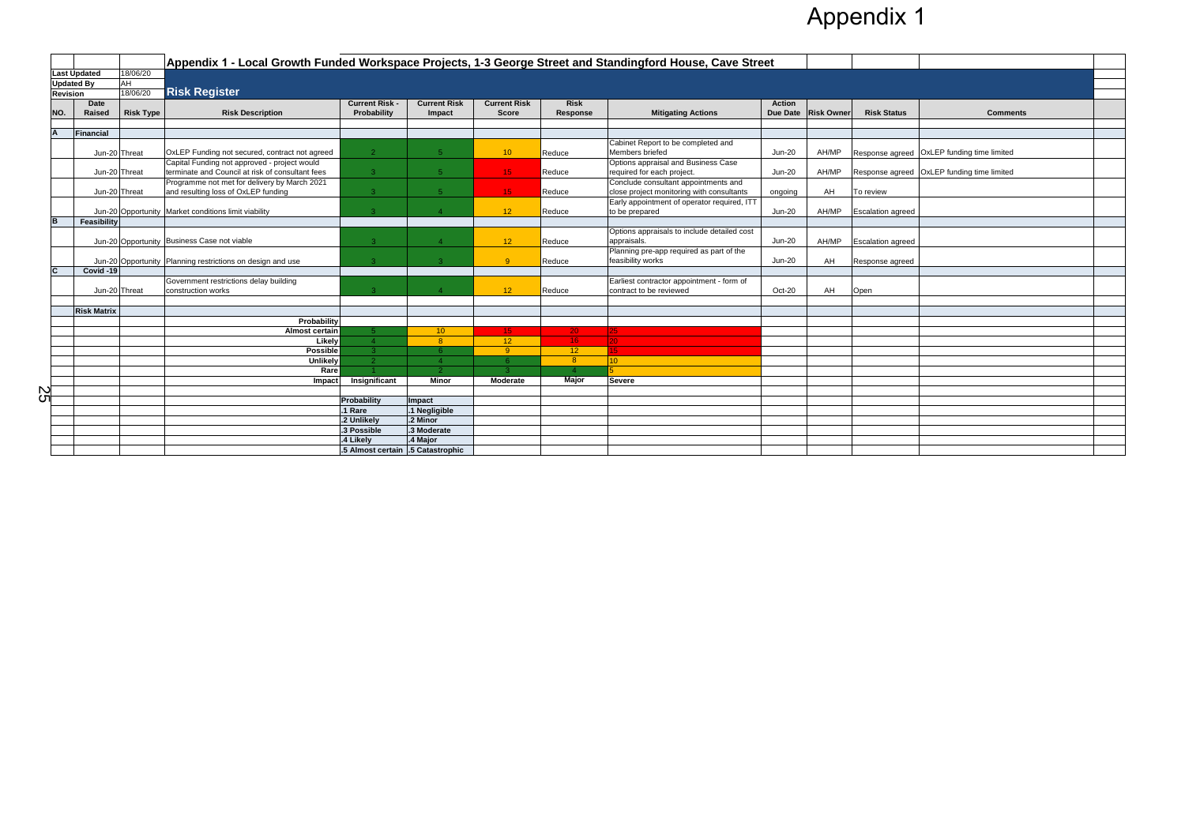|     |                     |                    |                  | Appendix 1 - Local Growth Funded Workspace Projects, 1-3 George Street and Standingford House, Cave Street |                                   |                     |                     |                 |                                             |               |                     |                          |                                            |  |
|-----|---------------------|--------------------|------------------|------------------------------------------------------------------------------------------------------------|-----------------------------------|---------------------|---------------------|-----------------|---------------------------------------------|---------------|---------------------|--------------------------|--------------------------------------------|--|
|     | <b>Last Updated</b> |                    | 18/06/20         |                                                                                                            |                                   |                     |                     |                 |                                             |               |                     |                          |                                            |  |
|     | <b>Updated By</b>   |                    | $\overline{AH}$  |                                                                                                            |                                   |                     |                     |                 |                                             |               |                     |                          |                                            |  |
|     | <b>Revision</b>     |                    | 18/06/20         | <b>Risk Register</b>                                                                                       |                                   |                     |                     |                 |                                             |               |                     |                          |                                            |  |
|     |                     | <b>Date</b>        |                  |                                                                                                            | <b>Current Risk -</b>             | <b>Current Risk</b> | <b>Current Risk</b> | <b>Risk</b>     |                                             | <b>Action</b> |                     |                          |                                            |  |
| NO. |                     | Raised             | <b>Risk Type</b> | <b>Risk Description</b>                                                                                    | Probability                       | Impact              | <b>Score</b>        | Response        | <b>Mitigating Actions</b>                   |               | Due Date Risk Owner | <b>Risk Status</b>       | <b>Comments</b>                            |  |
|     |                     |                    |                  |                                                                                                            |                                   |                     |                     |                 |                                             |               |                     |                          |                                            |  |
|     | Financial           |                    |                  |                                                                                                            |                                   |                     |                     |                 |                                             |               |                     |                          |                                            |  |
|     |                     |                    |                  |                                                                                                            |                                   |                     |                     |                 | Cabinet Report to be completed and          |               |                     |                          |                                            |  |
|     |                     | Jun-20 Threat      |                  | OxLEP Funding not secured, contract not agreed                                                             | 2 <sup>1</sup>                    | 5 <sup>1</sup>      | 10 <sup>°</sup>     | Reduce          | Members briefed                             | $Jun-20$      | AH/MP               |                          | Response agreed OxLEP funding time limited |  |
|     |                     |                    |                  | Capital Funding not approved - project would                                                               |                                   |                     |                     |                 | Options appraisal and Business Case         |               |                     |                          |                                            |  |
|     |                     | Jun-20 Threat      |                  | terminate and Council at risk of consultant fees                                                           | $\overline{3}$                    | $-5$                | 15                  | Reduce          | required for each project.                  | <b>Jun-20</b> | AH/MP               |                          | Response agreed OxLEP funding time limited |  |
|     |                     |                    |                  | Programme not met for delivery by March 2021                                                               |                                   |                     |                     |                 | Conclude consultant appointments and        |               |                     |                          |                                            |  |
|     |                     | Jun-20 Threat      |                  | and resulting loss of OxLEP funding                                                                        | $\mathbf{R}$                      | 5 <sup>1</sup>      | 15 <sub>1</sub>     | Reduce          | close project monitoring with consultants   | ongoing       | AH                  | To review                |                                            |  |
|     |                     |                    |                  |                                                                                                            |                                   |                     |                     |                 | Early appointment of operator required, ITT |               |                     |                          |                                            |  |
|     |                     |                    |                  | Jun-20 Opportunity   Market conditions limit viability                                                     | $\mathbf{3}$                      | $\overline{4}$      | 12 <sup>2</sup>     | Reduce          | to be prepared                              | <b>Jun-20</b> | AH/MP               | <b>Escalation agreed</b> |                                            |  |
|     |                     | Feasibility        |                  |                                                                                                            |                                   |                     |                     |                 |                                             |               |                     |                          |                                            |  |
|     |                     |                    |                  |                                                                                                            |                                   |                     |                     |                 | Options appraisals to include detailed cost |               |                     |                          |                                            |  |
|     |                     |                    |                  | Jun-20 Opportunity Business Case not viable                                                                | $\mathcal{B}$                     | $\overline{A}$      | 12                  | Reduce          | appraisals.                                 | <b>Jun-20</b> | AH/MP               | <b>Escalation agreed</b> |                                            |  |
|     |                     |                    |                  |                                                                                                            |                                   |                     |                     |                 | Planning pre-app required as part of the    |               |                     |                          |                                            |  |
|     |                     |                    |                  | Jun-20 Opportunity Planning restrictions on design and use                                                 | $\mathcal{B}$                     | $-3$                | -9                  | Reduce          | feasibility works                           | <b>Jun-20</b> | AH                  | Response agreed          |                                            |  |
|     |                     | Covid -19          |                  |                                                                                                            |                                   |                     |                     |                 |                                             |               |                     |                          |                                            |  |
|     |                     |                    |                  | Government restrictions delay building                                                                     |                                   |                     |                     |                 | Earliest contractor appointment - form of   |               |                     |                          |                                            |  |
|     |                     | Jun-20 Threat      |                  | construction works                                                                                         |                                   |                     | 12                  | Reduce          | contract to be reviewed                     | Oct-20        | AH                  | Open                     |                                            |  |
|     |                     |                    |                  |                                                                                                            |                                   |                     |                     |                 |                                             |               |                     |                          |                                            |  |
|     |                     | <b>Risk Matrix</b> |                  |                                                                                                            |                                   |                     |                     |                 |                                             |               |                     |                          |                                            |  |
|     |                     |                    |                  | Probability                                                                                                |                                   |                     |                     |                 |                                             |               |                     |                          |                                            |  |
|     |                     |                    |                  | Almost certain                                                                                             |                                   | 10 <sup>°</sup>     | 15 <sub>1</sub>     | 20 <sub>1</sub> |                                             |               |                     |                          |                                            |  |
|     |                     |                    |                  | Likely                                                                                                     |                                   | 8                   | 12                  | 16 <sub>1</sub> |                                             |               |                     |                          |                                            |  |
|     |                     |                    |                  | <b>Possible</b>                                                                                            | 3.                                | -6.                 | -9                  | 12 <sub>2</sub> |                                             |               |                     |                          |                                            |  |
|     |                     |                    |                  | <b>Unlikely</b>                                                                                            | $\mathcal{P}$                     | $\overline{4}$      | -6                  | 8 <sup>°</sup>  | $10-1$                                      |               |                     |                          |                                            |  |
|     |                     |                    |                  | Rare                                                                                                       |                                   | $\mathcal{D}$       |                     |                 |                                             |               |                     |                          |                                            |  |
|     |                     |                    |                  | <b>Impact</b>                                                                                              | Insignificant                     | <b>Minor</b>        | <b>Moderate</b>     | <b>Major</b>    | <b>Severe</b>                               |               |                     |                          |                                            |  |
| SS  |                     |                    |                  |                                                                                                            |                                   |                     |                     |                 |                                             |               |                     |                          |                                            |  |
|     |                     |                    |                  |                                                                                                            | Probability                       | Impact              |                     |                 |                                             |               |                     |                          |                                            |  |
|     |                     |                    |                  |                                                                                                            | .1 Rare                           | .1 Negligible       |                     |                 |                                             |               |                     |                          |                                            |  |
|     |                     |                    |                  |                                                                                                            | .2 Unlikely                       | .2 Minor            |                     |                 |                                             |               |                     |                          |                                            |  |
|     |                     |                    |                  |                                                                                                            | .3 Possible                       | .3 Moderate         |                     |                 |                                             |               |                     |                          |                                            |  |
|     |                     |                    |                  |                                                                                                            | .4 Likely                         | I.4 Major           |                     |                 |                                             |               |                     |                          |                                            |  |
|     |                     |                    |                  |                                                                                                            | .5 Almost certain .5 Catastrophic |                     |                     |                 |                                             |               |                     |                          |                                            |  |

## Appendix 1